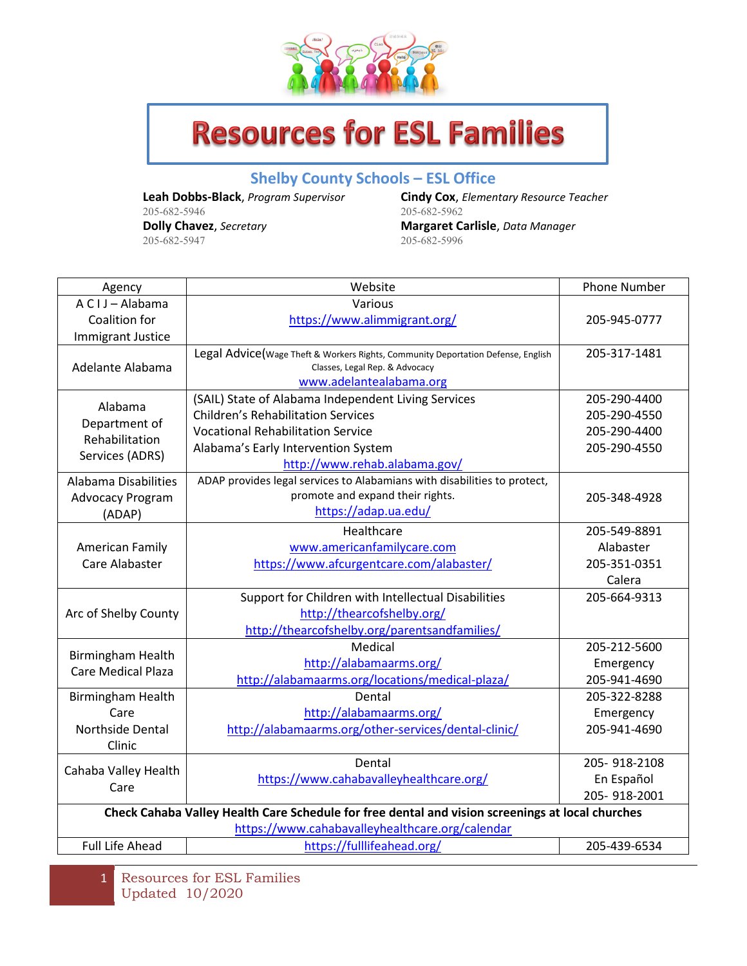

## **Resources for ESL Families**

## **Shelby County Schools – ESL Office**

205-682-5946 205-682-5947

**Leah Dobbs-Black**, *Program Supervisor* **Cindy Cox**, *Elementary Resource Teacher* **Dolly Chavez**, *Secretary* **Margaret Carlisle**, *Data Manager*

| Agency                                                                                           | Website                                                                           | <b>Phone Number</b>        |  |  |
|--------------------------------------------------------------------------------------------------|-----------------------------------------------------------------------------------|----------------------------|--|--|
| A C I J - Alabama                                                                                | Various                                                                           |                            |  |  |
| Coalition for                                                                                    | https://www.alimmigrant.org/                                                      | 205-945-0777               |  |  |
| <b>Immigrant Justice</b>                                                                         |                                                                                   |                            |  |  |
| Adelante Alabama                                                                                 | Legal Advice (Wage Theft & Workers Rights, Community Deportation Defense, English | 205-317-1481               |  |  |
|                                                                                                  | Classes, Legal Rep. & Advocacy<br>www.adelantealabama.org                         |                            |  |  |
|                                                                                                  | (SAIL) State of Alabama Independent Living Services                               | 205-290-4400               |  |  |
| Alabama<br>Department of<br>Rehabilitation<br>Services (ADRS)                                    | <b>Children's Rehabilitation Services</b>                                         | 205-290-4550               |  |  |
|                                                                                                  | <b>Vocational Rehabilitation Service</b>                                          | 205-290-4400               |  |  |
|                                                                                                  | Alabama's Early Intervention System                                               | 205-290-4550               |  |  |
|                                                                                                  | http://www.rehab.alabama.gov/                                                     |                            |  |  |
| Alabama Disabilities                                                                             | ADAP provides legal services to Alabamians with disabilities to protect,          |                            |  |  |
| <b>Advocacy Program</b>                                                                          | promote and expand their rights.                                                  | 205-348-4928               |  |  |
| (ADAP)                                                                                           | https://adap.ua.edu/                                                              |                            |  |  |
|                                                                                                  | Healthcare                                                                        | 205-549-8891               |  |  |
| American Family                                                                                  | www.americanfamilycare.com                                                        | Alabaster                  |  |  |
| Care Alabaster                                                                                   | https://www.afcurgentcare.com/alabaster/                                          | 205-351-0351               |  |  |
|                                                                                                  |                                                                                   | Calera                     |  |  |
|                                                                                                  | Support for Children with Intellectual Disabilities                               | 205-664-9313               |  |  |
| Arc of Shelby County                                                                             | http://thearcofshelby.org/                                                        |                            |  |  |
|                                                                                                  | http://thearcofshelby.org/parentsandfamilies/                                     |                            |  |  |
| <b>Birmingham Health</b>                                                                         | Medical                                                                           | 205-212-5600               |  |  |
| <b>Care Medical Plaza</b>                                                                        | http://alabamaarms.org/                                                           | Emergency                  |  |  |
|                                                                                                  | http://alabamaarms.org/locations/medical-plaza/                                   | 205-941-4690               |  |  |
| <b>Birmingham Health</b>                                                                         | Dental                                                                            | 205-322-8288               |  |  |
| Care                                                                                             | http://alabamaarms.org/                                                           | Emergency                  |  |  |
| <b>Northside Dental</b>                                                                          | http://alabamaarms.org/other-services/dental-clinic/                              | 205-941-4690               |  |  |
| Clinic                                                                                           | Dental                                                                            |                            |  |  |
| Cahaba Valley Health                                                                             | https://www.cahabavalleyhealthcare.org/                                           | 205-918-2108<br>En Español |  |  |
| Care                                                                                             |                                                                                   | 205-918-2001               |  |  |
| Check Cahaba Valley Health Care Schedule for free dental and vision screenings at local churches |                                                                                   |                            |  |  |
| https://www.cahabavalleyhealthcare.org/calendar                                                  |                                                                                   |                            |  |  |
| <b>Full Life Ahead</b>                                                                           | https://fulllifeahead.org/                                                        | 205-439-6534               |  |  |

1 Resources for ESL Families Updated 10/2020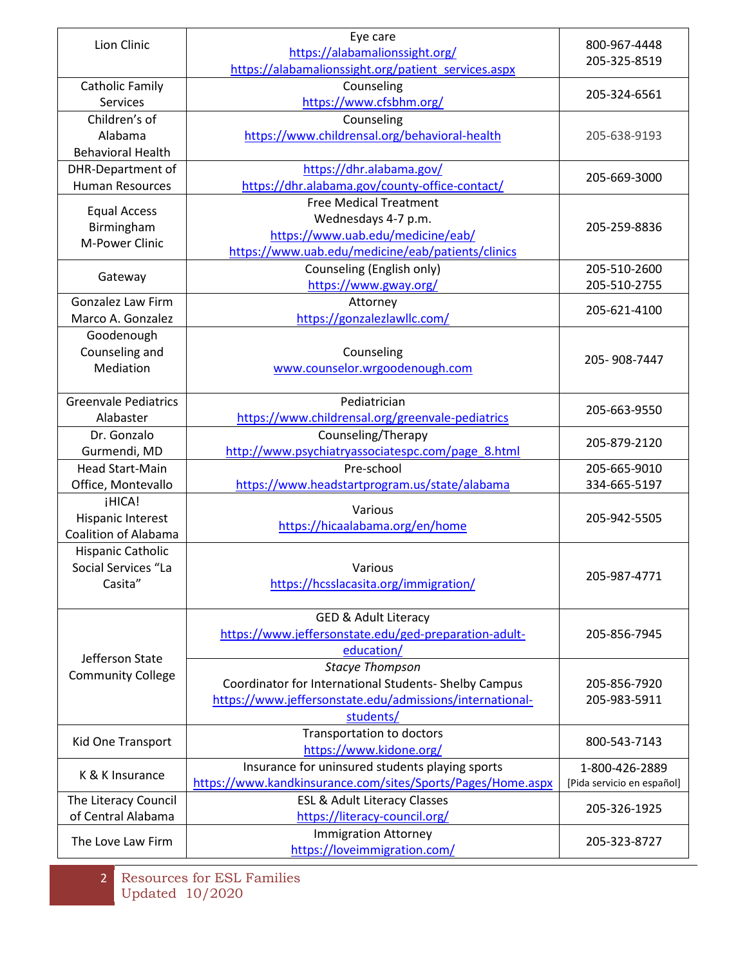| Lion Clinic                                                | Eye care<br>https://alabamalionssight.org/<br>https://alabamalionssight.org/patient_services.aspx                                                        | 800-967-4448<br>205-325-8519                 |
|------------------------------------------------------------|----------------------------------------------------------------------------------------------------------------------------------------------------------|----------------------------------------------|
| <b>Catholic Family</b><br><b>Services</b>                  | Counseling<br>https://www.cfsbhm.org/                                                                                                                    | 205-324-6561                                 |
| Children's of<br>Alabama<br><b>Behavioral Health</b>       | Counseling<br>https://www.childrensal.org/behavioral-health                                                                                              | 205-638-9193                                 |
| DHR-Department of<br><b>Human Resources</b>                | https://dhr.alabama.gov/<br>https://dhr.alabama.gov/county-office-contact/                                                                               | 205-669-3000                                 |
| <b>Equal Access</b><br>Birmingham<br>M-Power Clinic        | <b>Free Medical Treatment</b><br>Wednesdays 4-7 p.m.<br>https://www.uab.edu/medicine/eab/<br>https://www.uab.edu/medicine/eab/patients/clinics           | 205-259-8836                                 |
| Gateway                                                    | Counseling (English only)<br>https://www.gway.org/                                                                                                       | 205-510-2600<br>205-510-2755                 |
| Gonzalez Law Firm<br>Marco A. Gonzalez                     | Attorney<br>https://gonzalezlawllc.com/                                                                                                                  | 205-621-4100                                 |
| Goodenough<br>Counseling and<br>Mediation                  | Counseling<br>www.counselor.wrgoodenough.com                                                                                                             | 205-908-7447                                 |
| <b>Greenvale Pediatrics</b><br>Alabaster                   | Pediatrician<br>https://www.childrensal.org/greenvale-pediatrics                                                                                         | 205-663-9550                                 |
| Dr. Gonzalo<br>Gurmendi, MD                                | Counseling/Therapy<br>http://www.psychiatryassociatespc.com/page_8.html                                                                                  | 205-879-2120                                 |
| <b>Head Start-Main</b><br>Office, Montevallo               | Pre-school<br>https://www.headstartprogram.us/state/alabama                                                                                              | 205-665-9010<br>334-665-5197                 |
| ¡HICA!<br><b>Hispanic Interest</b><br>Coalition of Alabama | Various<br>https://hicaalabama.org/en/home                                                                                                               | 205-942-5505                                 |
| Hispanic Catholic<br>Social Services "La<br>Casita"        | Various<br>https://hcsslacasita.org/immigration/                                                                                                         | 205-987-4771                                 |
| Jefferson State<br><b>Community College</b>                | <b>GED &amp; Adult Literacy</b><br>https://www.jeffersonstate.edu/ged-preparation-adult-<br>education/                                                   | 205-856-7945                                 |
|                                                            | <b>Stacye Thompson</b><br>Coordinator for International Students- Shelby Campus<br>https://www.jeffersonstate.edu/admissions/international-<br>students/ | 205-856-7920<br>205-983-5911                 |
| Kid One Transport                                          | <b>Transportation to doctors</b><br>https://www.kidone.org/                                                                                              | 800-543-7143                                 |
| K & K Insurance                                            | Insurance for uninsured students playing sports<br>https://www.kandkinsurance.com/sites/Sports/Pages/Home.aspx                                           | 1-800-426-2889<br>[Pida servicio en español] |
| The Literacy Council<br>of Central Alabama                 | <b>ESL &amp; Adult Literacy Classes</b><br>https://literacy-council.org/                                                                                 | 205-326-1925                                 |
| The Love Law Firm                                          | <b>Immigration Attorney</b><br>https://loveimmigration.com/                                                                                              | 205-323-8727                                 |

<sup>2</sup> Resources for ESL Families Updated 10/2020